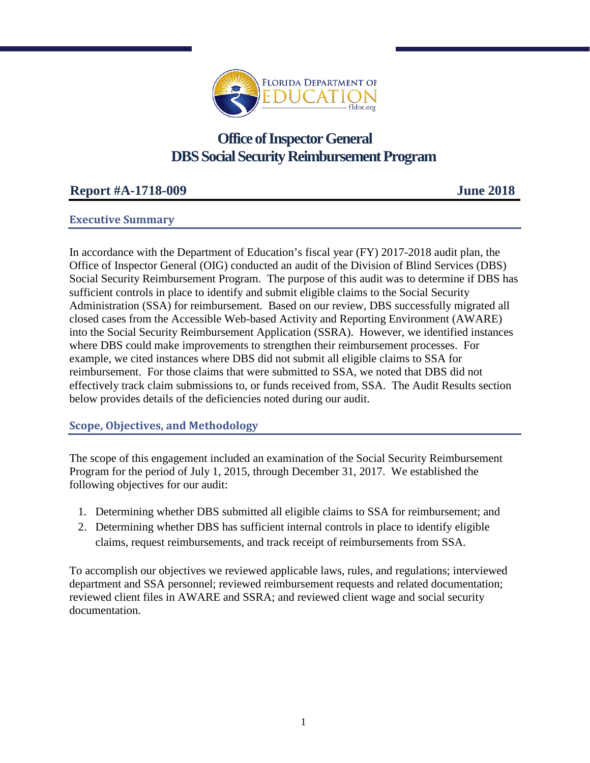

# **Office of Inspector General DBS Social Security Reimbursement Program**

## **Report #A-1718-009 June 2018**

#### **Executive Summary**

In accordance with the Department of Education's fiscal year (FY) 2017-2018 audit plan, the Office of Inspector General (OIG) conducted an audit of the Division of Blind Services (DBS) Social Security Reimbursement Program. The purpose of this audit was to determine if DBS has sufficient controls in place to identify and submit eligible claims to the Social Security Administration (SSA) for reimbursement. Based on our review, DBS successfully migrated all closed cases from the Accessible Web-based Activity and Reporting Environment (AWARE) into the Social Security Reimbursement Application (SSRA). However, we identified instances where DBS could make improvements to strengthen their reimbursement processes. For example, we cited instances where DBS did not submit all eligible claims to SSA for reimbursement. For those claims that were submitted to SSA, we noted that DBS did not effectively track claim submissions to, or funds received from, SSA. The Audit Results section below provides details of the deficiencies noted during our audit.

#### **Scope, Objectives, and Methodology**

The scope of this engagement included an examination of the Social Security Reimbursement Program for the period of July 1, 2015, through December 31, 2017. We established the following objectives for our audit:

- 1. Determining whether DBS submitted all eligible claims to SSA for reimbursement; and
- 2. Determining whether DBS has sufficient internal controls in place to identify eligible claims, request reimbursements, and track receipt of reimbursements from SSA.

To accomplish our objectives we reviewed applicable laws, rules, and regulations; interviewed department and SSA personnel; reviewed reimbursement requests and related documentation; reviewed client files in AWARE and SSRA; and reviewed client wage and social security documentation.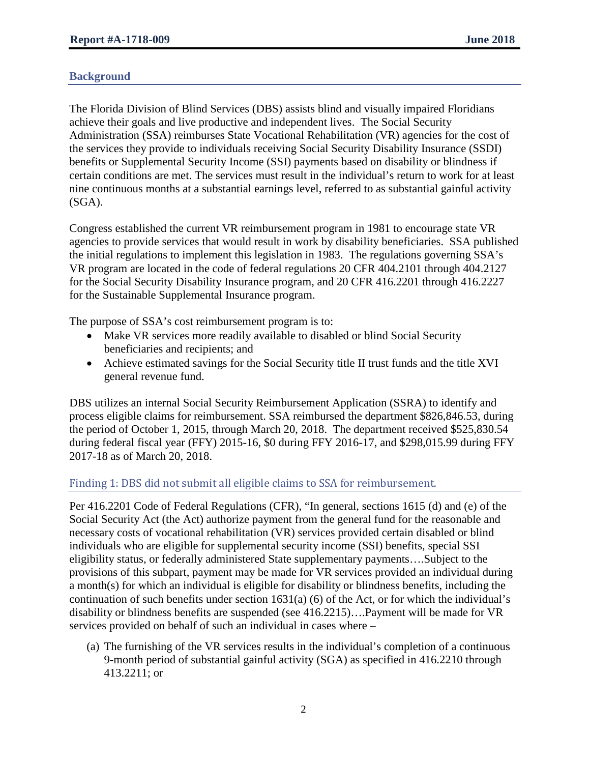### **Background**

The Florida Division of Blind Services (DBS) assists blind and visually impaired Floridians achieve their goals and live productive and independent lives. The Social Security Administration (SSA) reimburses State Vocational Rehabilitation (VR) agencies for the cost of the services they provide to individuals receiving Social Security Disability Insurance (SSDI) benefits or Supplemental Security Income (SSI) payments based on disability or blindness if certain conditions are met. The services must result in the individual's return to work for at least nine continuous months at a substantial earnings level, referred to as substantial gainful activity (SGA).

Congress established the current VR reimbursement program in 1981 to encourage state VR agencies to provide services that would result in work by disability beneficiaries. SSA published the initial regulations to implement this legislation in 1983. The regulations governing SSA's VR program are located in the code of federal regulations 20 CFR 404.2101 through 404.2127 for the Social Security Disability Insurance program, and 20 CFR 416.2201 through 416.2227 for the Sustainable Supplemental Insurance program.

The purpose of SSA's cost reimbursement program is to:

- Make VR services more readily available to disabled or blind Social Security beneficiaries and recipients; and
- Achieve estimated savings for the Social Security title II trust funds and the title XVI general revenue fund.

DBS utilizes an internal Social Security Reimbursement Application (SSRA) to identify and process eligible claims for reimbursement. SSA reimbursed the department \$826,846.53, during the period of October 1, 2015, through March 20, 2018. The department received \$525,830.54 during federal fiscal year (FFY) 2015-16, \$0 during FFY 2016-17, and \$298,015.99 during FFY 2017-18 as of March 20, 2018.

#### Finding 1: DBS did not submit all eligible claims to SSA for reimbursement.

Per 416.2201 Code of Federal Regulations (CFR), "In general, sections 1615 (d) and (e) of the Social Security Act (the Act) authorize payment from the general fund for the reasonable and necessary costs of vocational rehabilitation (VR) services provided certain disabled or blind individuals who are eligible for supplemental security income (SSI) benefits, special SSI eligibility status, or federally administered State supplementary payments….Subject to the provisions of this subpart, payment may be made for VR services provided an individual during a month(s) for which an individual is eligible for disability or blindness benefits, including the continuation of such benefits under section 1631(a) (6) of the Act, or for which the individual's disability or blindness benefits are suspended (see 416.2215)….Payment will be made for VR services provided on behalf of such an individual in cases where –

(a) The furnishing of the VR services results in the individual's completion of a continuous 9-month period of substantial gainful activity (SGA) as specified in 416.2210 through 413.2211; or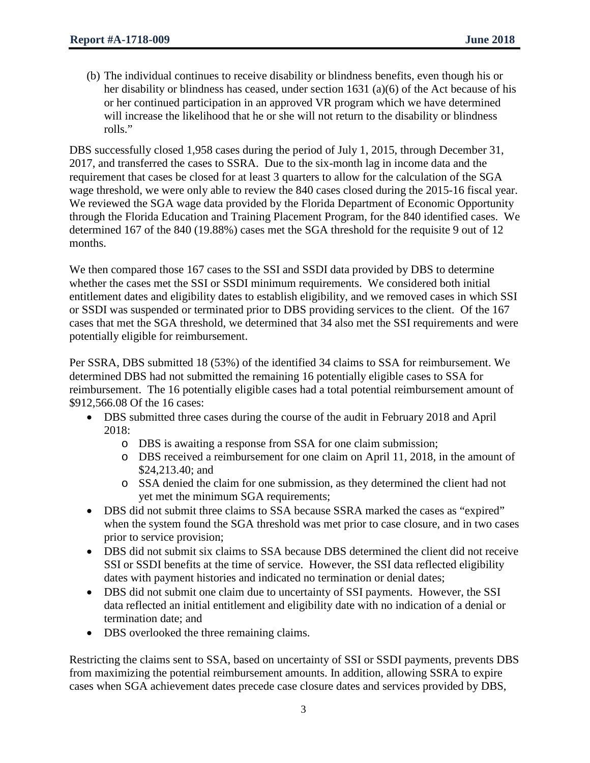(b) The individual continues to receive disability or blindness benefits, even though his or her disability or blindness has ceased, under section 1631 (a)(6) of the Act because of his or her continued participation in an approved VR program which we have determined will increase the likelihood that he or she will not return to the disability or blindness rolls."

DBS successfully closed 1,958 cases during the period of July 1, 2015, through December 31, 2017, and transferred the cases to SSRA. Due to the six-month lag in income data and the requirement that cases be closed for at least 3 quarters to allow for the calculation of the SGA wage threshold, we were only able to review the 840 cases closed during the 2015-16 fiscal year. We reviewed the SGA wage data provided by the Florida Department of Economic Opportunity through the Florida Education and Training Placement Program, for the 840 identified cases. We determined 167 of the 840 (19.88%) cases met the SGA threshold for the requisite 9 out of 12 months.

We then compared those 167 cases to the SSI and SSDI data provided by DBS to determine whether the cases met the SSI or SSDI minimum requirements. We considered both initial entitlement dates and eligibility dates to establish eligibility, and we removed cases in which SSI or SSDI was suspended or terminated prior to DBS providing services to the client. Of the 167 cases that met the SGA threshold, we determined that 34 also met the SSI requirements and were potentially eligible for reimbursement.

Per SSRA, DBS submitted 18 (53%) of the identified 34 claims to SSA for reimbursement. We determined DBS had not submitted the remaining 16 potentially eligible cases to SSA for reimbursement. The 16 potentially eligible cases had a total potential reimbursement amount of \$912,566.08 Of the 16 cases:

- DBS submitted three cases during the course of the audit in February 2018 and April 2018:
	- o DBS is awaiting a response from SSA for one claim submission;
	- o DBS received a reimbursement for one claim on April 11, 2018, in the amount of \$24,213.40; and
	- o SSA denied the claim for one submission, as they determined the client had not yet met the minimum SGA requirements;
- DBS did not submit three claims to SSA because SSRA marked the cases as "expired" when the system found the SGA threshold was met prior to case closure, and in two cases prior to service provision;
- DBS did not submit six claims to SSA because DBS determined the client did not receive SSI or SSDI benefits at the time of service. However, the SSI data reflected eligibility dates with payment histories and indicated no termination or denial dates;
- DBS did not submit one claim due to uncertainty of SSI payments. However, the SSI data reflected an initial entitlement and eligibility date with no indication of a denial or termination date; and
- DBS overlooked the three remaining claims.

Restricting the claims sent to SSA, based on uncertainty of SSI or SSDI payments, prevents DBS from maximizing the potential reimbursement amounts. In addition, allowing SSRA to expire cases when SGA achievement dates precede case closure dates and services provided by DBS,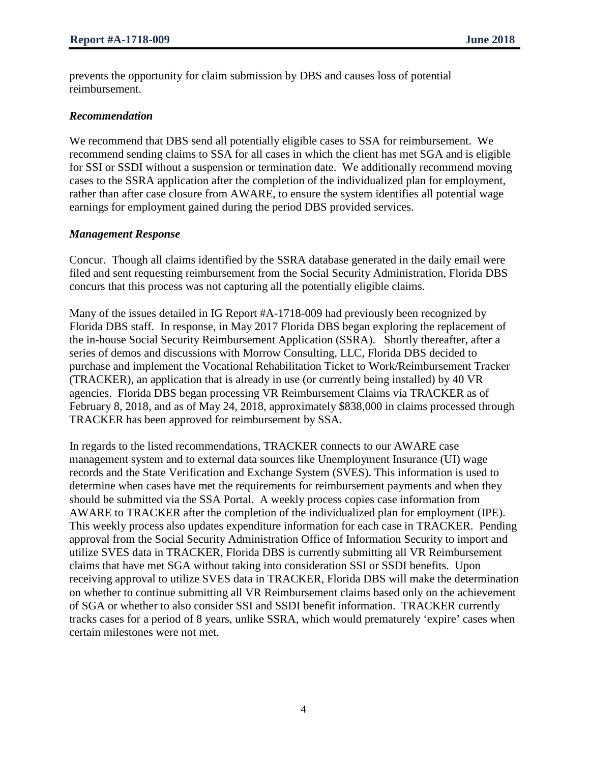prevents the opportunity for claim submission by DBS and causes loss of potential reimbursement.

#### *Recommendation*

We recommend that DBS send all potentially eligible cases to SSA for reimbursement. We recommend sending claims to SSA for all cases in which the client has met SGA and is eligible for SSI or SSDI without a suspension or termination date. We additionally recommend moving cases to the SSRA application after the completion of the individualized plan for employment, rather than after case closure from AWARE, to ensure the system identifies all potential wage earnings for employment gained during the period DBS provided services.

#### *Management Response*

Concur. Though all claims identified by the SSRA database generated in the daily email were filed and sent requesting reimbursement from the Social Security Administration, Florida DBS concurs that this process was not capturing all the potentially eligible claims.

Many of the issues detailed in IG Report #A-1718-009 had previously been recognized by Florida DBS staff. In response, in May 2017 Florida DBS began exploring the replacement of the in-house Social Security Reimbursement Application (SSRA). Shortly thereafter, after a series of demos and discussions with Morrow Consulting, LLC, Florida DBS decided to purchase and implement the Vocational Rehabilitation Ticket to Work/Reimbursement Tracker (TRACKER), an application that is already in use (or currently being installed) by 40 VR agencies. Florida DBS began processing VR Reimbursement Claims via TRACKER as of February 8, 2018, and as of May 24, 2018, approximately \$838,000 in claims processed through TRACKER has been approved for reimbursement by SSA.

In regards to the listed recommendations, TRACKER connects to our AWARE case management system and to external data sources like Unemployment Insurance (UI) wage records and the State Verification and Exchange System (SVES). This information is used to determine when cases have met the requirements for reimbursement payments and when they should be submitted via the SSA Portal. A weekly process copies case information from AWARE to TRACKER after the completion of the individualized plan for employment (IPE). This weekly process also updates expenditure information for each case in TRACKER. Pending approval from the Social Security Administration Office of Information Security to import and utilize SVES data in TRACKER, Florida DBS is currently submitting all VR Reimbursement claims that have met SGA without taking into consideration SSI or SSDI benefits. Upon receiving approval to utilize SVES data in TRACKER, Florida DBS will make the determination on whether to continue submitting all VR Reimbursement claims based only on the achievement of SGA or whether to also consider SSI and SSDI benefit information. TRACKER currently tracks cases for a period of 8 years, unlike SSRA, which would prematurely 'expire' cases when certain milestones were not met.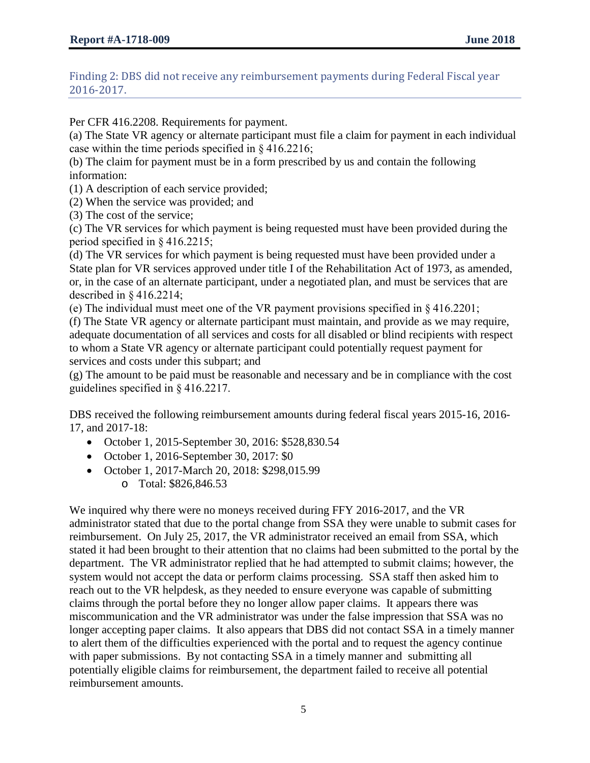Finding 2: DBS did not receive any reimbursement payments during Federal Fiscal year 2016-2017.

Per CFR 416.2208. Requirements for payment.

(a) The State VR agency or alternate participant must file a claim for payment in each individual case within the time periods specified in § 416.2216;

(b) The claim for payment must be in a form prescribed by us and contain the following information:

(1) A description of each service provided;

(2) When the service was provided; and

(3) The cost of the service;

(c) The VR services for which payment is being requested must have been provided during the period specified in § 416.2215;

(d) The VR services for which payment is being requested must have been provided under a State plan for VR services approved under title I of the Rehabilitation Act of 1973, as amended, or, in the case of an alternate participant, under a negotiated plan, and must be services that are described in § 416.2214;

(e) The individual must meet one of the VR payment provisions specified in § 416.2201;

(f) The State VR agency or alternate participant must maintain, and provide as we may require, adequate documentation of all services and costs for all disabled or blind recipients with respect to whom a State VR agency or alternate participant could potentially request payment for services and costs under this subpart; and

(g) The amount to be paid must be reasonable and necessary and be in compliance with the cost guidelines specified in § 416.2217.

DBS received the following reimbursement amounts during federal fiscal years 2015-16, 2016- 17, and 2017-18:

- October 1, 2015-September 30, 2016: \$528,830.54
- October 1, 2016-September 30, 2017: \$0
- October 1, 2017-March 20, 2018: \$298,015.99
	- o Total: \$826,846.53

We inquired why there were no moneys received during FFY 2016-2017, and the VR administrator stated that due to the portal change from SSA they were unable to submit cases for reimbursement. On July 25, 2017, the VR administrator received an email from SSA, which stated it had been brought to their attention that no claims had been submitted to the portal by the department. The VR administrator replied that he had attempted to submit claims; however, the system would not accept the data or perform claims processing. SSA staff then asked him to reach out to the VR helpdesk, as they needed to ensure everyone was capable of submitting claims through the portal before they no longer allow paper claims. It appears there was miscommunication and the VR administrator was under the false impression that SSA was no longer accepting paper claims. It also appears that DBS did not contact SSA in a timely manner to alert them of the difficulties experienced with the portal and to request the agency continue with paper submissions. By not contacting SSA in a timely manner and submitting all potentially eligible claims for reimbursement, the department failed to receive all potential reimbursement amounts.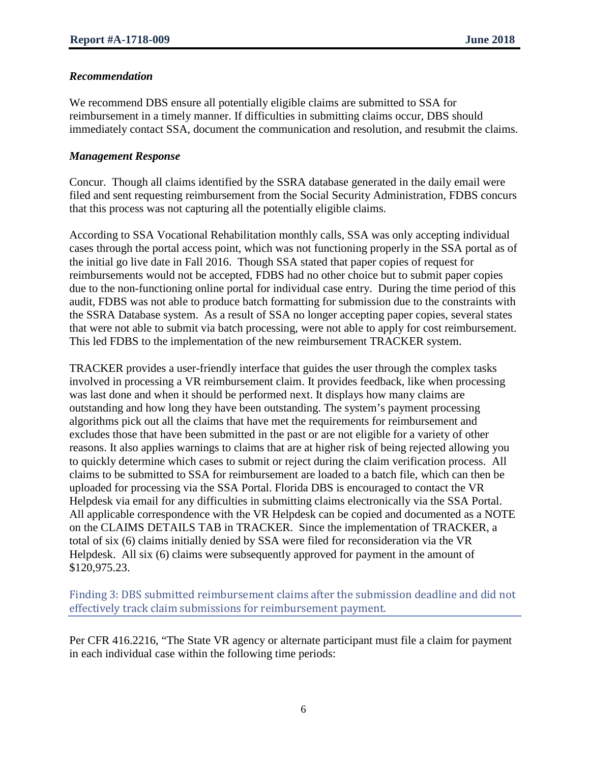#### *Recommendation*

We recommend DBS ensure all potentially eligible claims are submitted to SSA for reimbursement in a timely manner. If difficulties in submitting claims occur, DBS should immediately contact SSA, document the communication and resolution, and resubmit the claims.

#### *Management Response*

Concur. Though all claims identified by the SSRA database generated in the daily email were filed and sent requesting reimbursement from the Social Security Administration, FDBS concurs that this process was not capturing all the potentially eligible claims.

According to SSA Vocational Rehabilitation monthly calls, SSA was only accepting individual cases through the portal access point, which was not functioning properly in the SSA portal as of the initial go live date in Fall 2016. Though SSA stated that paper copies of request for reimbursements would not be accepted, FDBS had no other choice but to submit paper copies due to the non-functioning online portal for individual case entry. During the time period of this audit, FDBS was not able to produce batch formatting for submission due to the constraints with the SSRA Database system. As a result of SSA no longer accepting paper copies, several states that were not able to submit via batch processing, were not able to apply for cost reimbursement. This led FDBS to the implementation of the new reimbursement TRACKER system.

TRACKER provides a user-friendly interface that guides the user through the complex tasks involved in processing a VR reimbursement claim. It provides feedback, like when processing was last done and when it should be performed next. It displays how many claims are outstanding and how long they have been outstanding. The system's payment processing algorithms pick out all the claims that have met the requirements for reimbursement and excludes those that have been submitted in the past or are not eligible for a variety of other reasons. It also applies warnings to claims that are at higher risk of being rejected allowing you to quickly determine which cases to submit or reject during the claim verification process. All claims to be submitted to SSA for reimbursement are loaded to a batch file, which can then be uploaded for processing via the SSA Portal. Florida DBS is encouraged to contact the VR Helpdesk via email for any difficulties in submitting claims electronically via the SSA Portal. All applicable correspondence with the VR Helpdesk can be copied and documented as a NOTE on the CLAIMS DETAILS TAB in TRACKER. Since the implementation of TRACKER, a total of six (6) claims initially denied by SSA were filed for reconsideration via the VR Helpdesk. All six (6) claims were subsequently approved for payment in the amount of \$120,975.23.

Finding 3: DBS submitted reimbursement claims after the submission deadline and did not effectively track claim submissions for reimbursement payment.

Per CFR 416.2216, "The State VR agency or alternate participant must file a claim for payment in each individual case within the following time periods: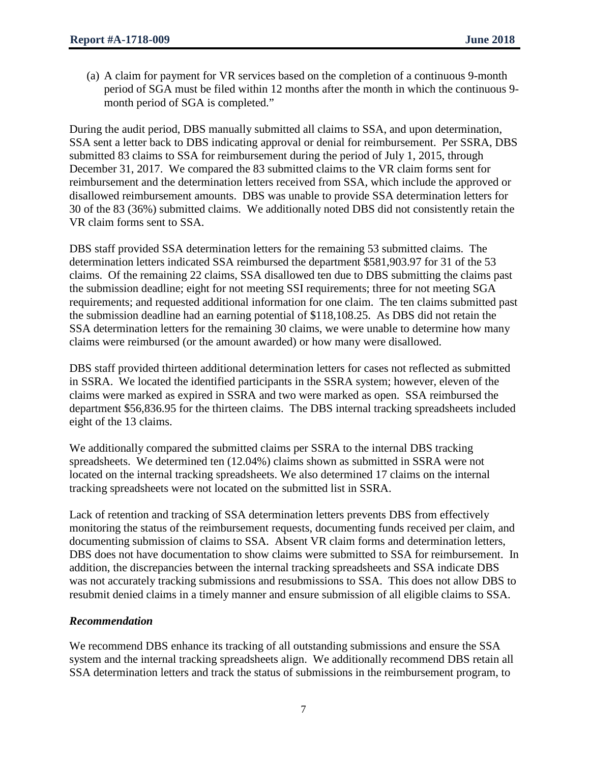(a) A claim for payment for VR services based on the completion of a continuous 9-month period of SGA must be filed within 12 months after the month in which the continuous 9 month period of SGA is completed."

During the audit period, DBS manually submitted all claims to SSA, and upon determination, SSA sent a letter back to DBS indicating approval or denial for reimbursement. Per SSRA, DBS submitted 83 claims to SSA for reimbursement during the period of July 1, 2015, through December 31, 2017. We compared the 83 submitted claims to the VR claim forms sent for reimbursement and the determination letters received from SSA, which include the approved or disallowed reimbursement amounts. DBS was unable to provide SSA determination letters for 30 of the 83 (36%) submitted claims. We additionally noted DBS did not consistently retain the VR claim forms sent to SSA.

DBS staff provided SSA determination letters for the remaining 53 submitted claims. The determination letters indicated SSA reimbursed the department \$581,903.97 for 31 of the 53 claims. Of the remaining 22 claims, SSA disallowed ten due to DBS submitting the claims past the submission deadline; eight for not meeting SSI requirements; three for not meeting SGA requirements; and requested additional information for one claim. The ten claims submitted past the submission deadline had an earning potential of \$118,108.25. As DBS did not retain the SSA determination letters for the remaining 30 claims, we were unable to determine how many claims were reimbursed (or the amount awarded) or how many were disallowed.

DBS staff provided thirteen additional determination letters for cases not reflected as submitted in SSRA. We located the identified participants in the SSRA system; however, eleven of the claims were marked as expired in SSRA and two were marked as open. SSA reimbursed the department \$56,836.95 for the thirteen claims. The DBS internal tracking spreadsheets included eight of the 13 claims.

We additionally compared the submitted claims per SSRA to the internal DBS tracking spreadsheets. We determined ten (12.04%) claims shown as submitted in SSRA were not located on the internal tracking spreadsheets. We also determined 17 claims on the internal tracking spreadsheets were not located on the submitted list in SSRA.

Lack of retention and tracking of SSA determination letters prevents DBS from effectively monitoring the status of the reimbursement requests, documenting funds received per claim, and documenting submission of claims to SSA. Absent VR claim forms and determination letters, DBS does not have documentation to show claims were submitted to SSA for reimbursement. In addition, the discrepancies between the internal tracking spreadsheets and SSA indicate DBS was not accurately tracking submissions and resubmissions to SSA. This does not allow DBS to resubmit denied claims in a timely manner and ensure submission of all eligible claims to SSA.

#### *Recommendation*

We recommend DBS enhance its tracking of all outstanding submissions and ensure the SSA system and the internal tracking spreadsheets align. We additionally recommend DBS retain all SSA determination letters and track the status of submissions in the reimbursement program, to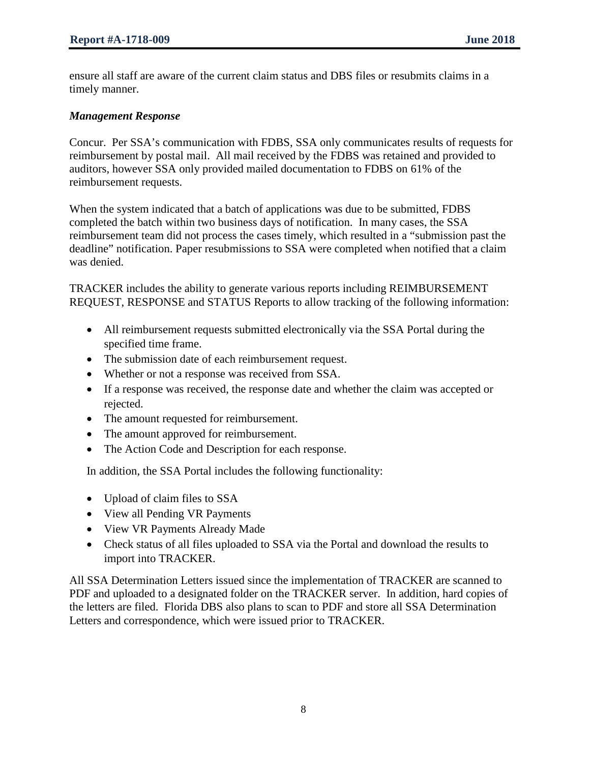ensure all staff are aware of the current claim status and DBS files or resubmits claims in a timely manner.

#### *Management Response*

Concur. Per SSA's communication with FDBS, SSA only communicates results of requests for reimbursement by postal mail. All mail received by the FDBS was retained and provided to auditors, however SSA only provided mailed documentation to FDBS on 61% of the reimbursement requests.

When the system indicated that a batch of applications was due to be submitted, FDBS completed the batch within two business days of notification. In many cases, the SSA reimbursement team did not process the cases timely, which resulted in a "submission past the deadline" notification. Paper resubmissions to SSA were completed when notified that a claim was denied.

TRACKER includes the ability to generate various reports including REIMBURSEMENT REQUEST, RESPONSE and STATUS Reports to allow tracking of the following information:

- All reimbursement requests submitted electronically via the SSA Portal during the specified time frame.
- The submission date of each reimbursement request.
- Whether or not a response was received from SSA.
- If a response was received, the response date and whether the claim was accepted or rejected.
- The amount requested for reimbursement.
- The amount approved for reimbursement.
- The Action Code and Description for each response.

In addition, the SSA Portal includes the following functionality:

- Upload of claim files to SSA
- View all Pending VR Payments
- View VR Payments Already Made
- Check status of all files uploaded to SSA via the Portal and download the results to import into TRACKER.

All SSA Determination Letters issued since the implementation of TRACKER are scanned to PDF and uploaded to a designated folder on the TRACKER server. In addition, hard copies of the letters are filed. Florida DBS also plans to scan to PDF and store all SSA Determination Letters and correspondence, which were issued prior to TRACKER.